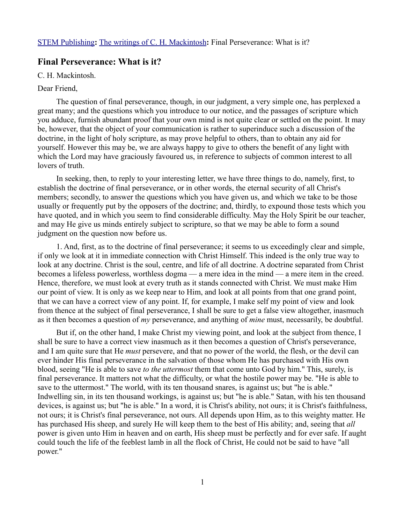## **Final Perseverance: What is it?**

C. H. Mackintosh.

## Dear Friend,

The question of final perseverance, though, in our judgment, a very simple one, has perplexed a great many; and the questions which you introduce to our notice, and the passages of scripture which you adduce, furnish abundant proof that your own mind is not quite clear or settled on the point. It may be, however, that the object of your communication is rather to superinduce such a discussion of the doctrine, in the light of holy scripture, as may prove helpful to others, than to obtain any aid for yourself. However this may be, we are always happy to give to others the benefit of any light with which the Lord may have graciously favoured us, in reference to subjects of common interest to all lovers of truth.

In seeking, then, to reply to your interesting letter, we have three things to do, namely, first, to establish the doctrine of final perseverance, or in other words, the eternal security of all Christ's members; secondly, to answer the questions which you have given us, and which we take to be those usually or frequently put by the opposers of the doctrine; and, thirdly, to expound those tests which you have quoted, and in which you seem to find considerable difficulty. May the Holy Spirit be our teacher, and may He give us minds entirely subject to scripture, so that we may be able to form a sound judgment on the question now before us.

1. And, first, as to the doctrine of final perseverance; it seems to us exceedingly clear and simple, if only we look at it in immediate connection with Christ Himself. This indeed is the only true way to look at any doctrine. Christ is the soul, centre, and life of all doctrine. A doctrine separated from Christ becomes a lifeless powerless, worthless dogma — a mere idea in the mind — a mere item in the creed. Hence, therefore, we must look at every truth as it stands connected with Christ. We must make Him our point of view. It is only as we keep near to Him, and look at all points from that one grand point, that we can have a correct view of any point. If, for example, I make self my point of view and look from thence at the subject of final perseverance, I shall be sure to get a false view altogether, inasmuch as it then becomes a question of *my* perseverance, and anything of *mine* must, necessarily, be doubtful.

But if, on the other hand, I make Christ my viewing point, and look at the subject from thence, I shall be sure to have a correct view inasmuch as it then becomes a question of Christ's perseverance, and I am quite sure that He *must* persevere, and that no power of the world, the flesh, or the devil can ever hinder His final perseverance in the salvation of those whom He has purchased with His own blood, seeing "He is able to save *to the uttermost* them that come unto God by him." This, surely, is final perseverance. It matters not what the difficulty, or what the hostile power may be. "He is able to save to the uttermost." The world, with its ten thousand snares, is against us; but "he is able." Indwelling sin, in its ten thousand workings, is against us; but "he is able." Satan, with his ten thousand devices, is against us; but "he is able." In a word, it is Christ's ability, not ours; it is Christ's faithfulness, not ours; it is Christ's final perseverance, not ours. All depends upon Him, as to this weighty matter. He has purchased His sheep, and surely He will keep them to the best of His ability; and, seeing that *all* power is given unto Him in heaven and on earth, His sheep must be perfectly and for ever safe. If aught could touch the life of the feeblest lamb in all the flock of Christ, He could not be said to have "all power."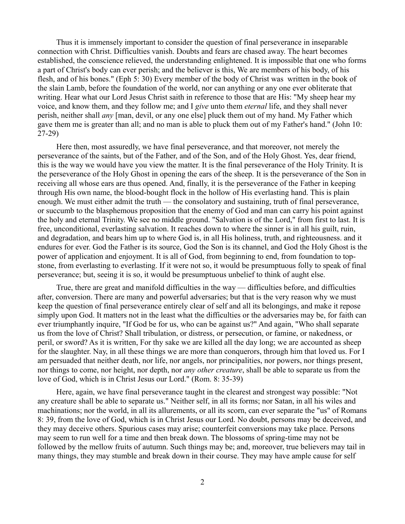Thus it is immensely important to consider the question of final perseverance in inseparable connection with Christ. Difficulties vanish. Doubts and fears are chased away. The heart becomes established, the conscience relieved, the understanding enlightened. It is impossible that one who forms a part of Christ's body can ever perish; and the believer is this, We are members of his body, of his flesh, and of his bones." (Eph 5: 30) Every member of the body of Christ was written in the book of the slain Lamb, before the foundation of the world, nor can anything or any one ever obliterate that writing. Hear what our Lord Jesus Christ saith in reference to those that are His: "My sheep hear my voice, and know them, and they follow me; and I *give* unto them *eternal* life, and they shall never perish, neither shall *any* [man, devil, or any one else] pluck them out of my hand. My Father which gave them me is greater than all; and no man is able to pluck them out of my Father's hand." (John 10: 27-29)

Here then, most assuredly, we have final perseverance, and that moreover, not merely the perseverance of the saints, but of the Father, and of the Son, and of the Holy Ghost. Yes, dear friend, this is the way we would have you view the matter. It is the final perseverance of the Holy Trinity. It is the perseverance of the Holy Ghost in opening the ears of the sheep. It is the perseverance of the Son in receiving all whose ears are thus opened. And, finally, it is the perseverance of the Father in keeping through His own name, the blood-bought flock in the hollow of His everlasting hand. This is plain enough. We must either admit the truth — the consolatory and sustaining, truth of final perseverance, or succumb to the blasphemous proposition that the enemy of God and man can carry his point against the holy and eternal Trinity. We see no middle ground. "Salvation is of the Lord," from first to last. It is free, unconditional, everlasting salvation. It reaches down to where the sinner is in all his guilt, ruin, and degradation, and bears him up to where God is, in all His holiness, truth, and righteousness. and it endures for ever. God the Father is its source, God the Son is its channel, and God the Holy Ghost is the power of application and enjoyment. It is all of God, from beginning to end, from foundation to topstone, from everlasting to everlasting. If it were not so, it would be presumptuous folly to speak of final perseverance; but, seeing it is so, it would be presumptuous unbelief to think of aught else.

True, there are great and manifold difficulties in the way — difficulties before, and difficulties after, conversion. There are many and powerful adversaries; but that is the very reason why we must keep the question of final perseverance entirely clear of self and all its belongings, and make it repose simply upon God. It matters not in the least what the difficulties or the adversaries may be, for faith can ever triumphantly inquire, "If God be for us, who can be against us?" And again, "Who shall separate us from the love of Christ? Shall tribulation, or distress, or persecution, or famine, or nakedness, or peril, or sword? As it is written, For thy sake we are killed all the day long; we are accounted as sheep for the slaughter. Nay, in all these things we are more than conquerors, through him that loved us. For I am persuaded that neither death, nor life, nor angels, nor principalities, nor powers, nor things present, nor things to come, nor height, nor depth, nor *any other creature*, shall be able to separate us from the love of God, which is in Christ Jesus our Lord." (Rom. 8: 35-39)

Here, again, we have final perseverance taught in the clearest and strongest way possible: "Not any creature shall be able to separate us." Neither self, in all its forms; nor Satan, in all his wiles and machinations; nor the world, in all its allurements, or all its scorn, can ever separate the "us" of Romans 8: 39, from the love of God, which is in Christ Jesus our Lord. No doubt, persons may be deceived, and they may deceive others. Spurious cases may arise; counterfeit conversions may take place. Persons may seem to run well for a time and then break down. The blossoms of spring-time may not be followed by the mellow fruits of autumn. Such things may be; and, moreover, true believers may tail in many things, they may stumble and break down in their course. They may have ample cause for self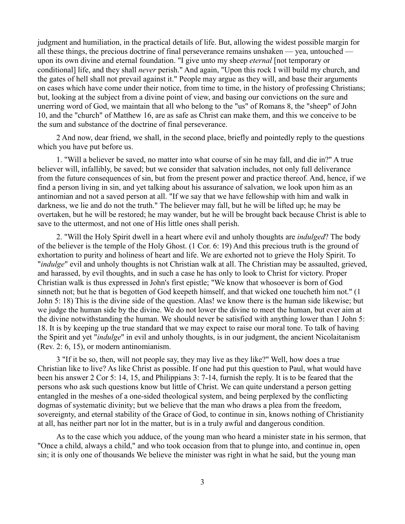judgment and humiliation, in the practical details of life. But, allowing the widest possible margin for all these things, the precious doctrine of final perseverance remains unshaken — yea, untouched upon its own divine and eternal foundation. "I give unto my sheep *eternal* [not temporary or conditional] life, and they shall *never* perish." And again, "Upon this rock I will build my church, and the gates of hell shall not prevail against it." People may argue as they will, and base their arguments on cases which have come under their notice, from time to time, in the history of professing Christians; but, looking at the subject from a divine point of view, and basing our convictions on the sure and unerring word of God, we maintain that all who belong to the "us" of Romans 8, the "sheep" of John 10, and the "church" of Matthew 16, are as safe as Christ can make them, and this we conceive to be the sum and substance of the doctrine of final perseverance.

2 And now, dear friend, we shall, in the second place, briefly and pointedly reply to the questions which you have put before us.

1. "Will a believer be saved, no matter into what course of sin he may fall, and die in?" A true believer will, infallibly, be saved; but we consider that salvation includes, not only full deliverance from the future consequences of sin, but from the present power and practice thereof. And, hence, if we find a person living in sin, and yet talking about his assurance of salvation, we look upon him as an antinomian and not a saved person at all. "If we say that we have fellowship with him and walk in darkness, we lie and do not the truth." The believer may fall, but he will be lifted up; he may be overtaken, but he will be restored; he may wander, but he will be brought back because Christ is able to save to the uttermost, and not one of His little ones shall perish.

2. "Will the Holy Spirit dwell in a heart where evil and unholy thoughts are *indulged*? The body of the believer is the temple of the Holy Ghost. (1 Cor. 6: 19) And this precious truth is the ground of exhortation to purity and holiness of heart and life. We are exhorted not to grieve the Holy Spirit. To "*indulge*" evil and unholy thoughts is not Christian walk at all. The Christian may be assaulted, grieved, and harassed, by evil thoughts, and in such a case he has only to look to Christ for victory. Proper Christian walk is thus expressed in John's first epistle; "We know that whosoever is born of God sinneth not; but he that is begotten of God keepeth himself, and that wicked one toucheth him not." (1 John 5: 18) This is the divine side of the question. Alas! we know there is the human side likewise; but we judge the human side by the divine. We do not lower the divine to meet the human, but ever aim at the divine notwithstanding the human. We should never be satisfied with anything lower than 1 John 5: 18. It is by keeping up the true standard that we may expect to raise our moral tone. To talk of having the Spirit and yet "*indulge*" in evil and unholy thoughts, is in our judgment, the ancient Nicolaitanism (Rev. 2: 6, 15), or modern antinomianism.

3 "If it be so, then, will not people say, they may live as they like?" Well, how does a true Christian like to live? As like Christ as possible. If one had put this question to Paul, what would have been his answer 2 Cor 5: 14, 15, and Philippians 3: 7-14, furnish the reply. It is to be feared that the persons who ask such questions know but little of Christ. We can quite understand a person getting entangled in the meshes of a one-sided theological system, and being perplexed by the conflicting dogmas of systematic divinity; but we believe that the man who draws a plea from the freedom, sovereignty, and eternal stability of the Grace of God, to continue in sin, knows nothing of Christianity at all, has neither part nor lot in the matter, but is in a truly awful and dangerous condition.

As to the case which you adduce, of the young man who heard a minister state in his sermon, that "Once a child, always a child," and who took occasion from that to plunge into, and continue in, open sin; it is only one of thousands We believe the minister was right in what he said, but the young man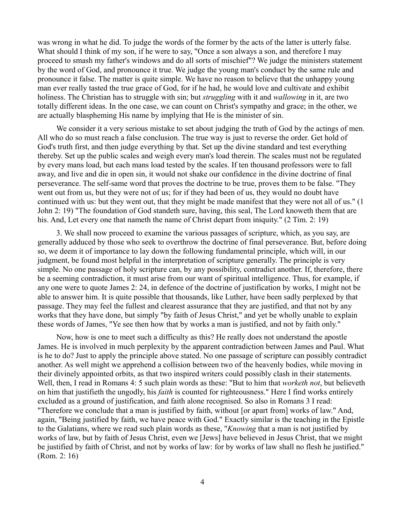was wrong in what he did. To judge the words of the former by the acts of the latter is utterly false. What should I think of my son, if he were to say, "Once a son always a son, and therefore I may proceed to smash my father's windows and do all sorts of mischief"? We judge the ministers statement by the word of God, and pronounce it true. We judge the young man's conduct by the same rule and pronounce it false. The matter is quite simple. We have no reason to believe that the unhappy young man ever really tasted the true grace of God, for if he had, he would love and cultivate and exhibit holiness. The Christian has to struggle with sin; but *struggling* with it and *wallowing* in it, are two totally different ideas. In the one case, we can count on Christ's sympathy and grace; in the other, we are actually blaspheming His name by implying that He is the minister of sin.

We consider it a very serious mistake to set about judging the truth of God by the actings of men. All who do so must reach a false conclusion. The true way is just to reverse the order. Get hold of God's truth first, and then judge everything by that. Set up the divine standard and test everything thereby. Set up the public scales and weigh every man's load therein. The scales must not be regulated by every mans load, but each mans load tested by the scales. If ten thousand professors were to fall away, and live and die in open sin, it would not shake our confidence in the divine doctrine of final perseverance. The self-same word that proves the doctrine to be true, proves them to be false. "They went out from us, but they were not of us; for if they had been of us, they would no doubt have continued with us: but they went out, that they might be made manifest that they were not all of us." (1 John 2: 19) "The foundation of God standeth sure, having, this seal, The Lord knoweth them that are his. And, Let every one that nameth the name of Christ depart from iniquity." (2 Tim. 2: 19)

3. We shall now proceed to examine the various passages of scripture, which, as you say, are generally adduced by those who seek to overthrow the doctrine of final perseverance. But, before doing so, we deem it of importance to lay down the following fundamental principle, which will, in our judgment, be found most helpful in the interpretation of scripture generally. The principle is very simple. No one passage of holy scripture can, by any possibility, contradict another. If, therefore, there be a seeming contradiction, it must arise from our want of spiritual intelligence. Thus, for example, if any one were to quote James 2: 24, in defence of the doctrine of justification by works, I might not be able to answer him. It is quite possible that thousands, like Luther, have been sadly perplexed by that passage. They may feel the fullest and clearest assurance that they are justified, and that not by any works that they have done, but simply "by faith of Jesus Christ," and yet be wholly unable to explain these words of James, "Ye see then how that by works a man is justified, and not by faith only."

Now, how is one to meet such a difficulty as this? He really does not understand the apostle James. He is involved in much perplexity by the apparent contradiction between James and Paul. What is he to do? Just to apply the principle above stated. No one passage of scripture can possibly contradict another. As well might we apprehend a collision between two of the heavenly bodies, while moving in their divinely appointed orbits, as that two inspired writers could possibly clash in their statements. Well, then, I read in Romans 4: 5 such plain words as these: "But to him that *worketh not*, but believeth on him that justifieth the ungodly, his *faith* is counted for righteousness." Here I find works entirely excluded as a ground of justification, and faith alone recognised. So also in Romans 3 I read: "Therefore we conclude that a man is justified by faith, without [or apart from] works of law." And, again, "Being justified by faith, we have peace with God." Exactly similar is the teaching in the Epistle to the Galatians, where we read such plain words as these, "*Knowing* that a man is not justified by works of law, but by faith of Jesus Christ, even we [Jews] have believed in Jesus Christ, that we might be justified by faith of Christ, and not by works of law: for by works of law shall no flesh he justified." (Rom. 2: 16)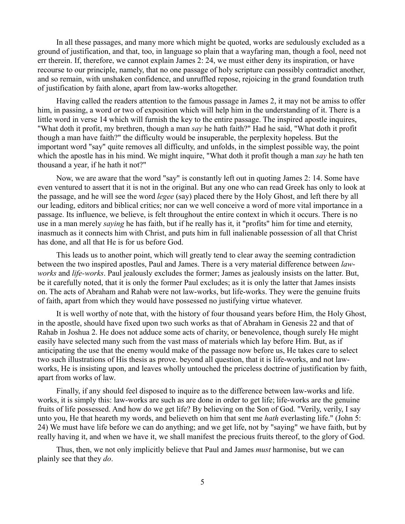In all these passages, and many more which might be quoted, works are sedulously excluded as a ground of justification, and that, too, in language so plain that a wayfaring man, though a fool, need not err therein. If, therefore, we cannot explain James 2: 24, we must either deny its inspiration, or have recourse to our principle, namely, that no one passage of holy scripture can possibly contradict another, and so remain, with unshaken confidence, and unruffled repose, rejoicing in the grand foundation truth of justification by faith alone, apart from law-works altogether.

Having called the readers attention to the famous passage in James 2, it may not be amiss to offer him, in passing, a word or two of exposition which will help him in the understanding of it. There is a little word in verse 14 which will furnish the key to the entire passage. The inspired apostle inquires, "What doth it profit, my brethren, though a man *say* he hath faith?" Had he said, "What doth it profit though a man have faith?" the difficulty would be insuperable, the perplexity hopeless. But the important word "say" quite removes all difficulty, and unfolds, in the simplest possible way, the point which the apostle has in his mind. We might inquire, "What doth it profit though a man *say* he hath ten thousand a year, if he hath it not?"

Now, we are aware that the word "say" is constantly left out in quoting James 2: 14. Some have even ventured to assert that it is not in the original. But any one who can read Greek has only to look at the passage, and he will see the word *legee* (say) placed there by the Holy Ghost, and left there by all our leading, editors and biblical critics; nor can we well conceive a word of more vital importance in a passage. Its influence, we believe, is felt throughout the entire context in which it occurs. There is no use in a man merely *saying* he has faith, but if he really has it, it "profits" him for time and eternity, inasmuch as it connects him with Christ, and puts him in full inalienable possession of all that Christ has done, and all that He is for us before God.

This leads us to another point, which will greatly tend to clear away the seeming contradiction between the two inspired apostles, Paul and James. There is a very material difference between *lawworks* and *life-works*. Paul jealously excludes the former; James as jealously insists on the latter. But, be it carefully noted, that it is only the former Paul excludes; as it is only the latter that James insists on. The acts of Abraham and Rahab were not law-works, but life-works. They were the genuine fruits of faith, apart from which they would have possessed no justifying virtue whatever.

It is well worthy of note that, with the history of four thousand years before Him, the Holy Ghost, in the apostle, should have fixed upon two such works as that of Abraham in Genesis 22 and that of Rahab in Joshua 2. He does not adduce some acts of charity, or benevolence, though surely He might easily have selected many such from the vast mass of materials which lay before Him. But, as if anticipating the use that the enemy would make of the passage now before us, He takes care to select two such illustrations of His thesis as prove. beyond all question, that it is life-works, and not lawworks, He is insisting upon, and leaves wholly untouched the priceless doctrine of justification by faith, apart from works of law.

Finally, if any should feel disposed to inquire as to the difference between law-works and life. works, it is simply this: law-works are such as are done in order to get life; life-works are the genuine fruits of life possessed. And how do we get life? By believing on the Son of God. "Verily, verily, I say unto you, He that heareth my words, and believeth on him that sent me *hath* everlasting life." (John 5: 24) We must have life before we can do anything; and we get life, not by "saying" we have faith, but by really having it, and when we have it, we shall manifest the precious fruits thereof, to the glory of God.

Thus, then, we not only implicitly believe that Paul and James *must* harmonise, but we can plainly see that they *do*.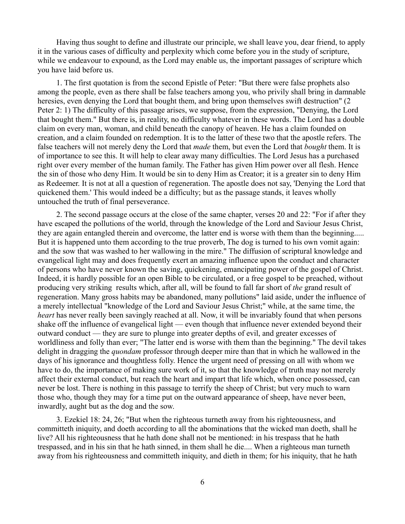Having thus sought to define and illustrate our principle, we shall leave you, dear friend, to apply it in the various cases of difficulty and perplexity which come before you in the study of scripture, while we endeavour to expound, as the Lord may enable us, the important passages of scripture which you have laid before us.

1. The first quotation is from the second Epistle of Peter: "But there were false prophets also among the people, even as there shall be false teachers among you, who privily shall bring in damnable heresies, even denying the Lord that bought them, and bring upon themselves swift destruction" (2 Peter 2: 1) The difficulty of this passage arises, we suppose, from the expression, "Denying, the Lord that bought them." But there is, in reality, no difficulty whatever in these words. The Lord has a double claim on every man, woman, and child beneath the canopy of heaven. He has a claim founded on creation, and a claim founded on redemption. It is to the latter of these two that the apostle refers. The false teachers will not merely deny the Lord that *made* them, but even the Lord that *bought* them. It is of importance to see this. It will help to clear away many difficulties. The Lord Jesus has a purchased right over every member of the human family. The Father has given Him power over all flesh. Hence the sin of those who deny Him. It would be sin to deny Him as Creator; it is a greater sin to deny Him as Redeemer. It is not at all a question of regeneration. The apostle does not say, 'Denying the Lord that quickened them.' This would indeed be a difficulty; but as the passage stands, it leaves wholly untouched the truth of final perseverance.

2. The second passage occurs at the close of the same chapter, verses 20 and 22: "For if after they have escaped the pollutions of the world, through the knowledge of the Lord and Saviour Jesus Christ, they are again entangled therein and overcome, the latter end is worse with them than the beginning..... But it is happened unto them according to the true proverb, The dog is turned to his own vomit again: and the sow that was washed to her wallowing in the mire." The diffusion of scriptural knowledge and evangelical light may and does frequently exert an amazing influence upon the conduct and character of persons who have never known the saving, quickening, emancipating power of the gospel of Christ. Indeed, it is hardly possible for an open Bible to be circulated, or a free gospel to be preached, without producing very striking results which, after all, will be found to fall far short of *the* grand result of regeneration. Many gross habits may be abandoned, many pollutions" laid aside, under the influence of a merely intellectual "knowledge of the Lord and Saviour Jesus Christ;" while, at the same time, the *heart* has never really been savingly reached at all. Now, it will be invariably found that when persons shake off the influence of evangelical light — even though that influence never extended beyond their outward conduct — they are sure to plunge into greater depths of evil, and greater excesses of worldliness and folly than ever; "The latter end is worse with them than the beginning." The devil takes delight in dragging the *quondam* professor through deeper mire than that in which he wallowed in the days of his ignorance and thoughtless folly. Hence the urgent need of pressing on all with whom we have to do, the importance of making sure work of it, so that the knowledge of truth may not merely affect their external conduct, but reach the heart and impart that life which, when once possessed, can never be lost. There is nothing in this passage to terrify the sheep of Christ; but very much to warn those who, though they may for a time put on the outward appearance of sheep, have never been, inwardly, aught but as the dog and the sow.

3. Ezekiel 18: 24, 26; "But when the righteous turneth away from his righteousness, and committeth iniquity, and doeth according to all the abominations that the wicked man doeth, shall he live? All his righteousness that he hath done shall not be mentioned: in his trespass that he hath trespassed, and in his sin that he hath sinned, in them shall he die.... When a righteous man turneth away from his righteousness and committeth iniquity, and dieth in them; for his iniquity, that he hath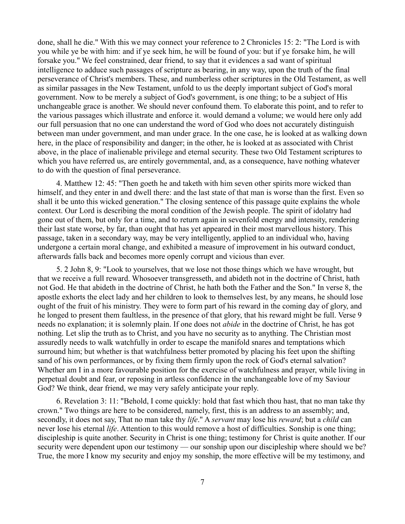done, shall he die." With this we may connect your reference to 2 Chronicles 15: 2: "The Lord is with you while ye be with him: and if ye seek him, he will be found of you: but if ye forsake him, he will forsake you." We feel constrained, dear friend, to say that it evidences a sad want of spiritual intelligence to adduce such passages of scripture as bearing, in any way, upon the truth of the final perseverance of Christ's members. These, and numberless other scriptures in the Old Testament, as well as similar passages in the New Testament, unfold to us the deeply important subject of God's moral government. Now to be merely a subject of God's government, is one thing; to be a subject of His unchangeable grace is another. We should never confound them. To elaborate this point, and to refer to the various passages which illustrate and enforce it. would demand a volume; we would here only add our full persuasion that no one can understand the word of God who does not accurately distinguish between man under government, and man under grace. In the one case, he is looked at as walking down here, in the place of responsibility and danger; in the other, he is looked at as associated with Christ above, in the place of inalienable privilege and eternal security. These two Old Testament scriptures to which you have referred us, are entirely governmental, and, as a consequence, have nothing whatever to do with the question of final perseverance.

4. Matthew 12: 45: "Then goeth he and taketh with him seven other spirits more wicked than himself, and they enter in and dwell there: and the last state of that man is worse than the first. Even so shall it be unto this wicked generation." The closing sentence of this passage quite explains the whole context. Our Lord is describing the moral condition of the Jewish people. The spirit of idolatry had gone out of them, but only for a time, and to return again in sevenfold energy and intensity, rendering their last state worse, by far, than ought that has yet appeared in their most marvellous history. This passage, taken in a secondary way, may be very intelligently, applied to an individual who, having undergone a certain moral change, and exhibited a measure of improvement in his outward conduct, afterwards falls back and becomes more openly corrupt and vicious than ever.

5. 2 John 8, 9: "Look to yourselves, that we lose not those things which we have wrought, but that we receive a full reward. Whosoever transgresseth, and abideth not in the doctrine of Christ, hath not God. He that abideth in the doctrine of Christ, he hath both the Father and the Son." In verse 8, the apostle exhorts the elect lady and her children to look to themselves lest, by any means, he should lose ought of the fruit of his ministry. They were to form part of his reward in the coming day of glory, and he longed to present them faultless, in the presence of that glory, that his reward might be full. Verse 9 needs no explanation; it is solemnly plain. If one does not *abide* in the doctrine of Christ, he has got nothing. Let slip the truth as to Christ, and you have no security as to anything. The Christian most assuredly needs to walk watchfully in order to escape the manifold snares and temptations which surround him; but whether is that watchfulness better promoted by placing his feet upon the shifting sand of his own performances, or by fixing them firmly upon the rock of God's eternal salvation? Whether am I in a more favourable position for the exercise of watchfulness and prayer, while living in perpetual doubt and fear, or reposing in artless confidence in the unchangeable love of my Saviour God? We think, dear friend, we may very safely anticipate your reply.

6. Revelation 3: 11: "Behold, I come quickly: hold that fast which thou hast, that no man take thy crown." Two things are here to be considered, namely, first, this is an address to an assembly; and, secondly, it does not say, That no man take thy *life*." A *servant* may lose his *reward*; but a *child* can never lose his eternal *life*. Attention to this would remove a host of difficulties. Sonship is one thing; discipleship is quite another. Security in Christ is one thing; testimony for Christ is quite another. If our security were dependent upon our testimony — our sonship upon our discipleship where should we be? True, the more I know my security and enjoy my sonship, the more effective will be my testimony, and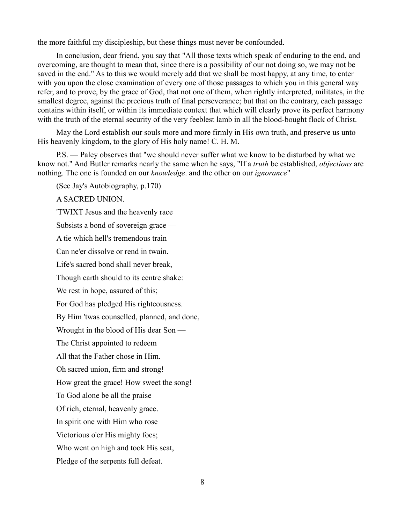the more faithful my discipleship, but these things must never be confounded.

In conclusion, dear friend, you say that "All those texts which speak of enduring to the end, and overcoming, are thought to mean that, since there is a possibility of our not doing so, we may not be saved in the end." As to this we would merely add that we shall be most happy, at any time, to enter with you upon the close examination of every one of those passages to which you in this general way refer, and to prove, by the grace of God, that not one of them, when rightly interpreted, militates, in the smallest degree, against the precious truth of final perseverance; but that on the contrary, each passage contains within itself, or within its immediate context that which will clearly prove its perfect harmony with the truth of the eternal security of the very feeblest lamb in all the blood-bought flock of Christ.

May the Lord establish our souls more and more firmly in His own truth, and preserve us unto His heavenly kingdom, to the glory of His holy name! C. H. M.

P.S. — Paley observes that "we should never suffer what we know to be disturbed by what we know not." And Butler remarks nearly the same when he says, "If a *truth* be established, *objections* are nothing. The one is founded on our *knowledge*. and the other on our *ignorance*"

(See Jay's Autobiography, p.170)

A SACRED UNION.

'TWIXT Jesus and the heavenly race Subsists a bond of sovereign grace — A tie which hell's tremendous train Can ne'er dissolve or rend in twain. Life's sacred bond shall never break, Though earth should to its centre shake: We rest in hope, assured of this; For God has pledged His righteousness. By Him 'twas counselled, planned, and done, Wrought in the blood of His dear Son — The Christ appointed to redeem All that the Father chose in Him. Oh sacred union, firm and strong! How great the grace! How sweet the song! To God alone be all the praise Of rich, eternal, heavenly grace. In spirit one with Him who rose Victorious o'er His mighty foes; Who went on high and took His seat, Pledge of the serpents full defeat.